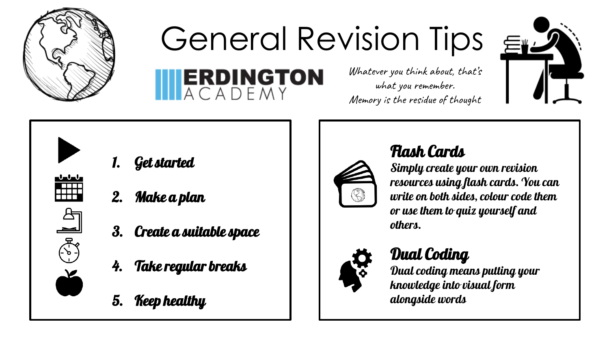

## General Revision Tips  $\epsilon$

**TERDINGTON** 



 $\begin{array}{c} \textbf{0} & \textbf{0} & \textbf{0} \\ \textbf{0} & \textbf{0} & \textbf{0} \end{array}$ ∓##  $\mathbb{E}[\mathcal{E}]$ 

- 1. Get started
- 2. Make a plan
- 3. Create a suitable space
- 4. Take regular breaks
- 5. Keep healthy



#### Flash Cards

Whatever you think about, that's what you remember. Memory is the residue of thought

> Simply create your own revision resources using flash cards. You can write on both sides, colour code them or use them to quiz yourself and others.



#### Dual Coding

Dual coding means putting your knowledge into visual form alongside words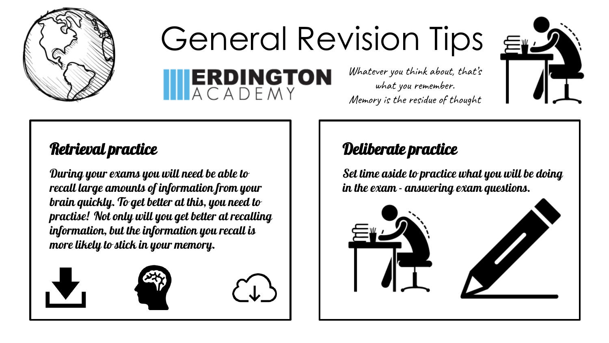

## General Revision Tips  $\epsilon$



# **ERDINGTON**

Whatever you think about, that's what you remember. Memory is the residue of thought

#### Retrieval practice

During your exams you will need be able to recall large amounts of information from your brain quickly. To get better at this, you need to practise! Not only will you get better at recalling information, but the information you recall is more likely to stick in your memory.





#### Deliberate practice

Set time aside to practice what you will be doing in the exam - answering exam questions.